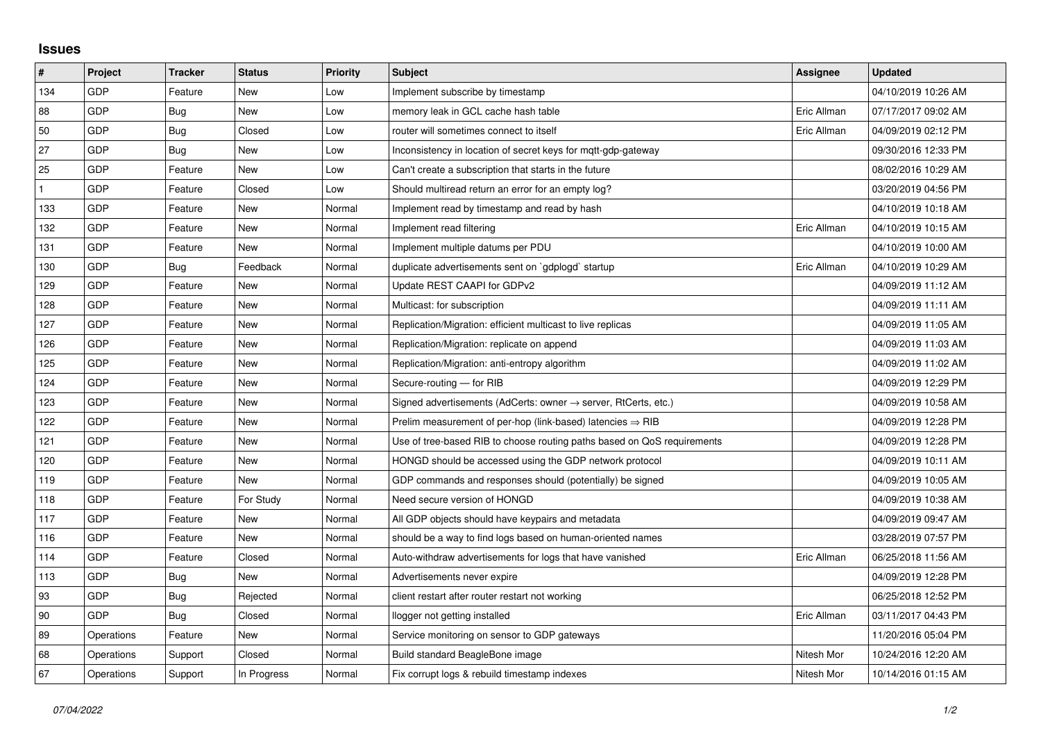## **Issues**

| $\sharp$     | Project    | <b>Tracker</b> | <b>Status</b> | <b>Priority</b> | <b>Subject</b>                                                             | Assignee    | <b>Updated</b>      |
|--------------|------------|----------------|---------------|-----------------|----------------------------------------------------------------------------|-------------|---------------------|
| 134          | GDP        | Feature        | New           | Low             | Implement subscribe by timestamp                                           |             | 04/10/2019 10:26 AM |
| 88           | GDP        | Bug            | New           | Low             | memory leak in GCL cache hash table                                        | Eric Allman | 07/17/2017 09:02 AM |
| 50           | GDP        | Bug            | Closed        | Low             | router will sometimes connect to itself                                    | Eric Allman | 04/09/2019 02:12 PM |
| 27           | GDP        | Bug            | New           | Low             | Inconsistency in location of secret keys for mgtt-gdp-gateway              |             | 09/30/2016 12:33 PM |
| 25           | GDP        | Feature        | <b>New</b>    | Low             | Can't create a subscription that starts in the future                      |             | 08/02/2016 10:29 AM |
| $\mathbf{1}$ | GDP        | Feature        | Closed        | Low             | Should multiread return an error for an empty log?                         |             | 03/20/2019 04:56 PM |
| 133          | GDP        | Feature        | New           | Normal          | Implement read by timestamp and read by hash                               |             | 04/10/2019 10:18 AM |
| 132          | GDP        | Feature        | New           | Normal          | Implement read filtering                                                   | Eric Allman | 04/10/2019 10:15 AM |
| 131          | GDP        | Feature        | New           | Normal          | Implement multiple datums per PDU                                          |             | 04/10/2019 10:00 AM |
| 130          | GDP        | Bug            | Feedback      | Normal          | duplicate advertisements sent on `gdplogd` startup                         | Eric Allman | 04/10/2019 10:29 AM |
| 129          | GDP        | Feature        | New           | Normal          | Update REST CAAPI for GDPv2                                                |             | 04/09/2019 11:12 AM |
| 128          | GDP        | Feature        | New           | Normal          | Multicast: for subscription                                                |             | 04/09/2019 11:11 AM |
| 127          | GDP        | Feature        | New           | Normal          | Replication/Migration: efficient multicast to live replicas                |             | 04/09/2019 11:05 AM |
| 126          | GDP        | Feature        | New           | Normal          | Replication/Migration: replicate on append                                 |             | 04/09/2019 11:03 AM |
| 125          | GDP        | Feature        | New           | Normal          | Replication/Migration: anti-entropy algorithm                              |             | 04/09/2019 11:02 AM |
| 124          | GDP        | Feature        | New           | Normal          | Secure-routing - for RIB                                                   |             | 04/09/2019 12:29 PM |
| 123          | GDP        | Feature        | New           | Normal          | Signed advertisements (AdCerts: owner $\rightarrow$ server, RtCerts, etc.) |             | 04/09/2019 10:58 AM |
| 122          | GDP        | Feature        | New           | Normal          | Prelim measurement of per-hop (link-based) latencies $\Rightarrow$ RIB     |             | 04/09/2019 12:28 PM |
| 121          | GDP        | Feature        | New           | Normal          | Use of tree-based RIB to choose routing paths based on QoS requirements    |             | 04/09/2019 12:28 PM |
| 120          | GDP        | Feature        | New           | Normal          | HONGD should be accessed using the GDP network protocol                    |             | 04/09/2019 10:11 AM |
| 119          | GDP        | Feature        | New           | Normal          | GDP commands and responses should (potentially) be signed                  |             | 04/09/2019 10:05 AM |
| 118          | GDP        | Feature        | For Study     | Normal          | Need secure version of HONGD                                               |             | 04/09/2019 10:38 AM |
| 117          | GDP        | Feature        | New           | Normal          | All GDP objects should have keypairs and metadata                          |             | 04/09/2019 09:47 AM |
| 116          | GDP        | Feature        | New           | Normal          | should be a way to find logs based on human-oriented names                 |             | 03/28/2019 07:57 PM |
| 114          | GDP        | Feature        | Closed        | Normal          | Auto-withdraw advertisements for logs that have vanished                   | Eric Allman | 06/25/2018 11:56 AM |
| 113          | GDP        | Bug            | New           | Normal          | Advertisements never expire                                                |             | 04/09/2019 12:28 PM |
| 93           | GDP        | <b>Bug</b>     | Rejected      | Normal          | client restart after router restart not working                            |             | 06/25/2018 12:52 PM |
| 90           | GDP        | Bug            | Closed        | Normal          | llogger not getting installed                                              | Eric Allman | 03/11/2017 04:43 PM |
| 89           | Operations | Feature        | New           | Normal          | Service monitoring on sensor to GDP gateways                               |             | 11/20/2016 05:04 PM |
| 68           | Operations | Support        | Closed        | Normal          | Build standard BeagleBone image                                            | Nitesh Mor  | 10/24/2016 12:20 AM |
| 67           | Operations | Support        | In Progress   | Normal          | Fix corrupt logs & rebuild timestamp indexes                               | Nitesh Mor  | 10/14/2016 01:15 AM |